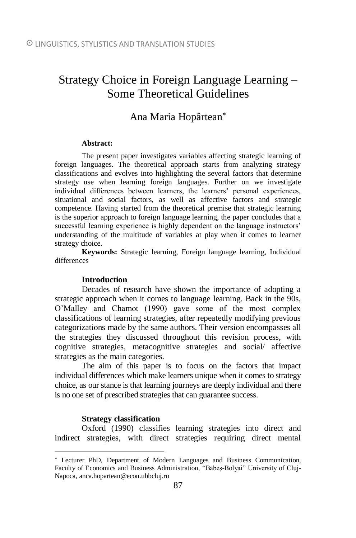# Strategy Choice in Foreign Language Learning – Some Theoretical Guidelines

## Ana Maria Hopârtean

#### **Abstract:**

The present paper investigates variables affecting strategic learning of foreign languages. The theoretical approach starts from analyzing strategy classifications and evolves into highlighting the several factors that determine strategy use when learning foreign languages. Further on we investigate individual differences between learners, the learners' personal experiences, situational and social factors, as well as affective factors and strategic competence. Having started from the theoretical premise that strategic learning is the superior approach to foreign language learning, the paper concludes that a successful learning experience is highly dependent on the language instructors' understanding of the multitude of variables at play when it comes to learner strategy choice.

**Keywords:** Strategic learning, Foreign language learning, Individual differences

#### **Introduction**

Decades of research have shown the importance of adopting a strategic approach when it comes to language learning. Back in the 90s, O'Malley and Chamot (1990) gave some of the most complex classifications of learning strategies, after repeatedly modifying previous categorizations made by the same authors. Their version encompasses all the strategies they discussed throughout this revision process, with cognitive strategies, metacognitive strategies and social/ affective strategies as the main categories.

The aim of this paper is to focus on the factors that impact individual differences which make learners unique when it comes to strategy choice, as our stance is that learning journeys are deeply individual and there is no one set of prescribed strategies that can guarantee success.

#### **Strategy classification**

 $\overline{a}$ 

Oxford (1990) classifies learning strategies into direct and indirect strategies, with direct strategies requiring direct mental

Lecturer PhD, Department of Modern Languages and Business Communication, Faculty of Economics and Business Administration, "Babeș-Bolyai" University of Cluj-Napoca, anca.hopartean@econ.ubbcluj.ro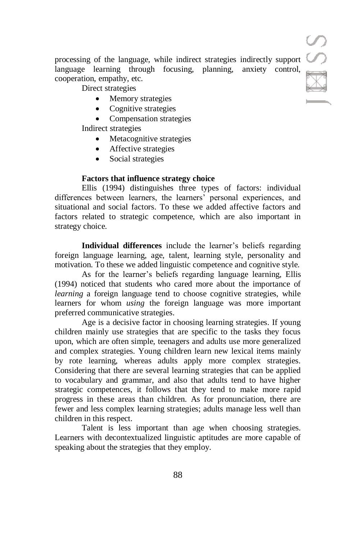processing of the language, while indirect strategies indirectly support language learning through focusing, planning, anxiety control, cooperation, empathy, etc.

Direct strategies

- Memory strategies
- Cognitive strategies
- Compensation strategies

Indirect strategies

- Metacognitive strategies
- Affective strategies
- Social strategies

## **Factors that influence strategy choice**

Ellis (1994) distinguishes three types of factors: individual differences between learners, the learners' personal experiences, and situational and social factors. To these we added affective factors and factors related to strategic competence, which are also important in strategy choice.

**Individual differences** include the learner's beliefs regarding foreign language learning, age, talent, learning style, personality and motivation. To these we added linguistic competence and cognitive style.

As for the learner's beliefs regarding language learning, Ellis (1994) noticed that students who cared more about the importance of *learning* a foreign language tend to choose cognitive strategies, while learners for whom *using* the foreign language was more important preferred communicative strategies.

Age is a decisive factor in choosing learning strategies. If young children mainly use strategies that are specific to the tasks they focus upon, which are often simple, teenagers and adults use more generalized and complex strategies. Young children learn new lexical items mainly by rote learning, whereas adults apply more complex strategies. Considering that there are several learning strategies that can be applied to vocabulary and grammar, and also that adults tend to have higher strategic competences, it follows that they tend to make more rapid progress in these areas than children. As for pronunciation, there are fewer and less complex learning strategies; adults manage less well than children in this respect.

Talent is less important than age when choosing strategies. Learners with decontextualized linguistic aptitudes are more capable of speaking about the strategies that they employ.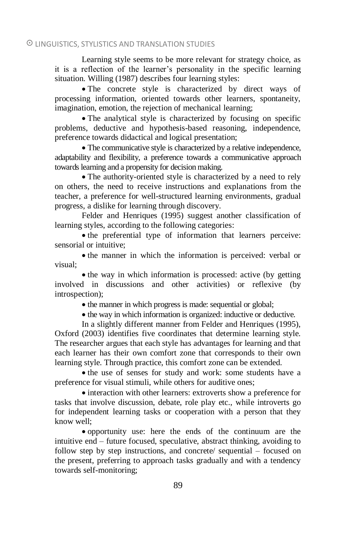## LINGUISTICS, STYLISTICS AND TRANSLATION STUDIES

Learning style seems to be more relevant for strategy choice, as it is a reflection of the learner's personality in the specific learning situation. Willing (1987) describes four learning styles:

 The concrete style is characterized by direct ways of processing information, oriented towards other learners, spontaneity, imagination, emotion, the rejection of mechanical learning;

 The analytical style is characterized by focusing on specific problems, deductive and hypothesis-based reasoning, independence, preference towards didactical and logical presentation;

 The communicative style is characterized by a relative independence, adaptability and flexibility, a preference towards a communicative approach towards learning and a propensity for decision making.

 The authority-oriented style is characterized by a need to rely on others, the need to receive instructions and explanations from the teacher, a preference for well-structured learning environments, gradual progress, a dislike for learning through discovery.

Felder and Henriques (1995) suggest another classification of learning styles, according to the following categories:

• the preferential type of information that learners perceive: sensorial or intuitive;

• the manner in which the information is perceived: verbal or visual;

• the way in which information is processed: active (by getting involved in discussions and other activities) or reflexive (by introspection);

• the manner in which progress is made: sequential or global;

• the way in which information is organized: inductive or deductive.

In a slightly different manner from Felder and Henriques (1995), Oxford (2003) identifies five coordinates that determine learning style. The researcher argues that each style has advantages for learning and that each learner has their own comfort zone that corresponds to their own learning style. Through practice, this comfort zone can be extended.

• the use of senses for study and work: some students have a preference for visual stimuli, while others for auditive ones;

• interaction with other learners: extroverts show a preference for tasks that involve discussion, debate, role play etc., while introverts go for independent learning tasks or cooperation with a person that they know well;

 opportunity use: here the ends of the continuum are the intuitive end – future focused, speculative, abstract thinking, avoiding to follow step by step instructions, and concrete/ sequential – focused on the present, preferring to approach tasks gradually and with a tendency towards self-monitoring;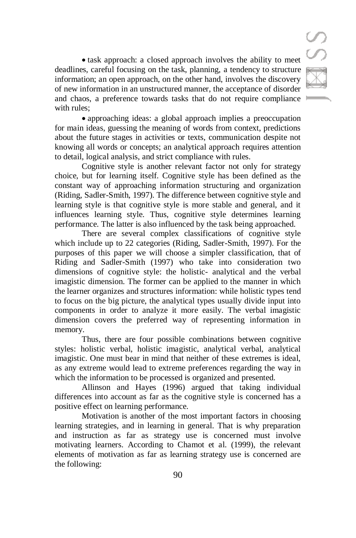• task approach: a closed approach involves the ability to meet deadlines, careful focusing on the task, planning, a tendency to structure information; an open approach, on the other hand, involves the discovery of new information in an unstructured manner, the acceptance of disorder and chaos, a preference towards tasks that do not require compliance with rules;

 approaching ideas: a global approach implies a preoccupation for main ideas, guessing the meaning of words from context, predictions about the future stages in activities or texts, communication despite not knowing all words or concepts; an analytical approach requires attention to detail, logical analysis, and strict compliance with rules.

Cognitive style is another relevant factor not only for strategy choice, but for learning itself. Cognitive style has been defined as the constant way of approaching information structuring and organization (Riding, Sadler-Smith, 1997). The difference between cognitive style and learning style is that cognitive style is more stable and general, and it influences learning style. Thus, cognitive style determines learning performance. The latter is also influenced by the task being approached.

There are several complex classifications of cognitive style which include up to 22 categories (Riding, Sadler-Smith, 1997). For the purposes of this paper we will choose a simpler classification, that of Riding and Sadler-Smith (1997) who take into consideration two dimensions of cognitive style: the holistic- analytical and the verbal imagistic dimension. The former can be applied to the manner in which the learner organizes and structures information: while holistic types tend to focus on the big picture, the analytical types usually divide input into components in order to analyze it more easily. The verbal imagistic dimension covers the preferred way of representing information in memory.

Thus, there are four possible combinations between cognitive styles: holistic verbal, holistic imagistic, analytical verbal, analytical imagistic. One must bear in mind that neither of these extremes is ideal, as any extreme would lead to extreme preferences regarding the way in which the information to be processed is organized and presented.

Allinson and Hayes (1996) argued that taking individual differences into account as far as the cognitive style is concerned has a positive effect on learning performance.

Motivation is another of the most important factors in choosing learning strategies, and in learning in general. That is why preparation and instruction as far as strategy use is concerned must involve motivating learners. According to Chamot et al. (1999), the relevant elements of motivation as far as learning strategy use is concerned are the following: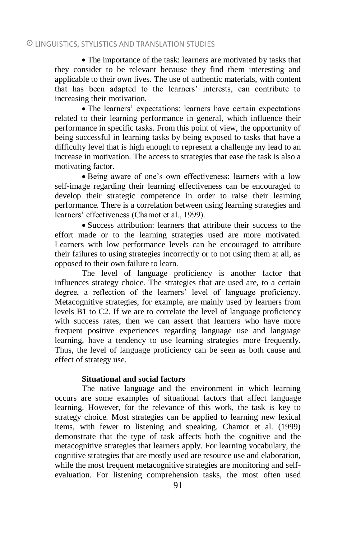## LINGUISTICS, STYLISTICS AND TRANSLATION STUDIES

 The importance of the task: learners are motivated by tasks that they consider to be relevant because they find them interesting and applicable to their own lives. The use of authentic materials, with content that has been adapted to the learners' interests, can contribute to increasing their motivation.

 The learners' expectations: learners have certain expectations related to their learning performance in general, which influence their performance in specific tasks. From this point of view, the opportunity of being successful in learning tasks by being exposed to tasks that have a difficulty level that is high enough to represent a challenge my lead to an increase in motivation. The access to strategies that ease the task is also a motivating factor.

 Being aware of one's own effectiveness: learners with a low self-image regarding their learning effectiveness can be encouraged to develop their strategic competence in order to raise their learning performance. There is a correlation between using learning strategies and learners' effectiveness (Chamot et al., 1999).

 Success attribution: learners that attribute their success to the effort made or to the learning strategies used are more motivated. Learners with low performance levels can be encouraged to attribute their failures to using strategies incorrectly or to not using them at all, as opposed to their own failure to learn.

The level of language proficiency is another factor that influences strategy choice. The strategies that are used are, to a certain degree, a reflection of the learners' level of language proficiency. Metacognitive strategies, for example, are mainly used by learners from levels B1 to C2. If we are to correlate the level of language proficiency with success rates, then we can assert that learners who have more frequent positive experiences regarding language use and language learning, have a tendency to use learning strategies more frequently. Thus, the level of language proficiency can be seen as both cause and effect of strategy use.

### **Situational and social factors**

The native language and the environment in which learning occurs are some examples of situational factors that affect language learning. However, for the relevance of this work, the task is key to strategy choice. Most strategies can be applied to learning new lexical items, with fewer to listening and speaking. Chamot et al. (1999) demonstrate that the type of task affects both the cognitive and the metacognitive strategies that learners apply. For learning vocabulary, the cognitive strategies that are mostly used are resource use and elaboration, while the most frequent metacognitive strategies are monitoring and selfevaluation. For listening comprehension tasks, the most often used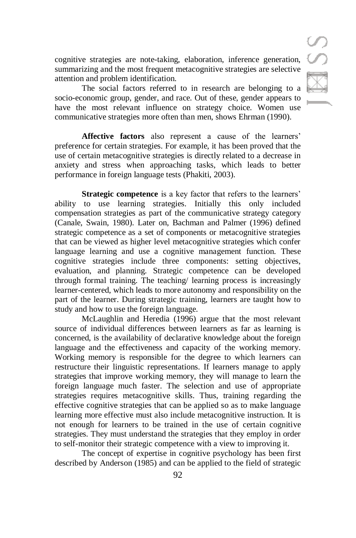cognitive strategies are note-taking, elaboration, inference generation, summarizing and the most frequent metacognitive strategies are selective attention and problem identification.

The social factors referred to in research are belonging to a socio-economic group, gender, and race. Out of these, gender appears to have the most relevant influence on strategy choice. Women use communicative strategies more often than men, shows Ehrman (1990).

**Affective factors** also represent a cause of the learners' preference for certain strategies. For example, it has been proved that the use of certain metacognitive strategies is directly related to a decrease in anxiety and stress when approaching tasks, which leads to better performance in foreign language tests (Phakiti, 2003).

**Strategic competence** is a key factor that refers to the learners' ability to use learning strategies. Initially this only included compensation strategies as part of the communicative strategy category (Canale, Swain, 1980). Later on, Bachman and Palmer (1996) defined strategic competence as a set of components or metacognitive strategies that can be viewed as higher level metacognitive strategies which confer language learning and use a cognitive management function. These cognitive strategies include three components: setting objectives, evaluation, and planning. Strategic competence can be developed through formal training. The teaching/ learning process is increasingly learner-centered, which leads to more autonomy and responsibility on the part of the learner. During strategic training, learners are taught how to study and how to use the foreign language.

McLaughlin and Heredia (1996) argue that the most relevant source of individual differences between learners as far as learning is concerned, is the availability of declarative knowledge about the foreign language and the effectiveness and capacity of the working memory. Working memory is responsible for the degree to which learners can restructure their linguistic representations. If learners manage to apply strategies that improve working memory, they will manage to learn the foreign language much faster. The selection and use of appropriate strategies requires metacognitive skills. Thus, training regarding the effective cognitive strategies that can be applied so as to make language learning more effective must also include metacognitive instruction. It is not enough for learners to be trained in the use of certain cognitive strategies. They must understand the strategies that they employ in order to self-monitor their strategic competence with a view to improving it.

The concept of expertise in cognitive psychology has been first described by Anderson (1985) and can be applied to the field of strategic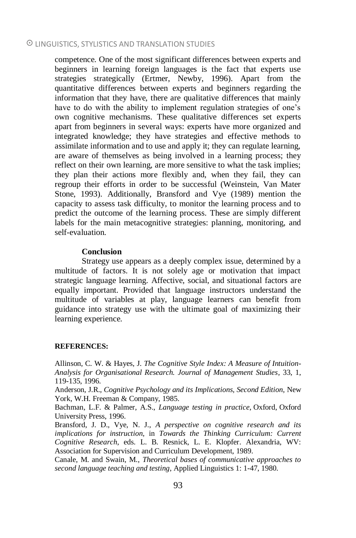## LINGUISTICS, STYLISTICS AND TRANSLATION STUDIES

competence. One of the most significant differences between experts and beginners in learning foreign languages is the fact that experts use strategies strategically (Ertmer, Newby, 1996). Apart from the quantitative differences between experts and beginners regarding the information that they have, there are qualitative differences that mainly have to do with the ability to implement regulation strategies of one's own cognitive mechanisms. These qualitative differences set experts apart from beginners in several ways: experts have more organized and integrated knowledge; they have strategies and effective methods to assimilate information and to use and apply it; they can regulate learning, are aware of themselves as being involved in a learning process; they reflect on their own learning, are more sensitive to what the task implies; they plan their actions more flexibly and, when they fail, they can regroup their efforts in order to be successful (Weinstein, Van Mater Stone, 1993). Additionally, Bransford and Vye (1989) mention the capacity to assess task difficulty, to monitor the learning process and to predict the outcome of the learning process. These are simply different labels for the main metacognitive strategies: planning, monitoring, and self-evaluation.

#### **Conclusion**

Strategy use appears as a deeply complex issue, determined by a multitude of factors. It is not solely age or motivation that impact strategic language learning. Affective, social, and situational factors are equally important. Provided that language instructors understand the multitude of variables at play, language learners can benefit from guidance into strategy use with the ultimate goal of maximizing their learning experience.

#### **REFERENCES:**

Allinson, C. W. & Hayes, J. *The Cognitive Style Index: A Measure of Intuition-Analysis for Organisational Research. Journal of Management Studies*, 33, 1, 119-135, 1996.

Anderson, J.R., *Cognitive Psychology and its Implications, Second Edition*, New York, W.H. Freeman & Company, 1985.

Bachman, L.F. & Palmer, A.S., *Language testing in practice*, Oxford, Oxford University Press, 1996.

Bransford, J. D., Vye, N. J., *A perspective on cognitive research and its implications for instruction*, in *Towards the Thinking Curriculum: Current Cognitive Research*, eds. L. B. Resnick, L. E. Klopfer. Alexandria, WV: Association for Supervision and Curriculum Development, 1989.

Canale, M. and Swain, M., *Theoretical bases of communicative approaches to second language teaching and testing*, Applied Linguistics 1: 1-47, 1980.